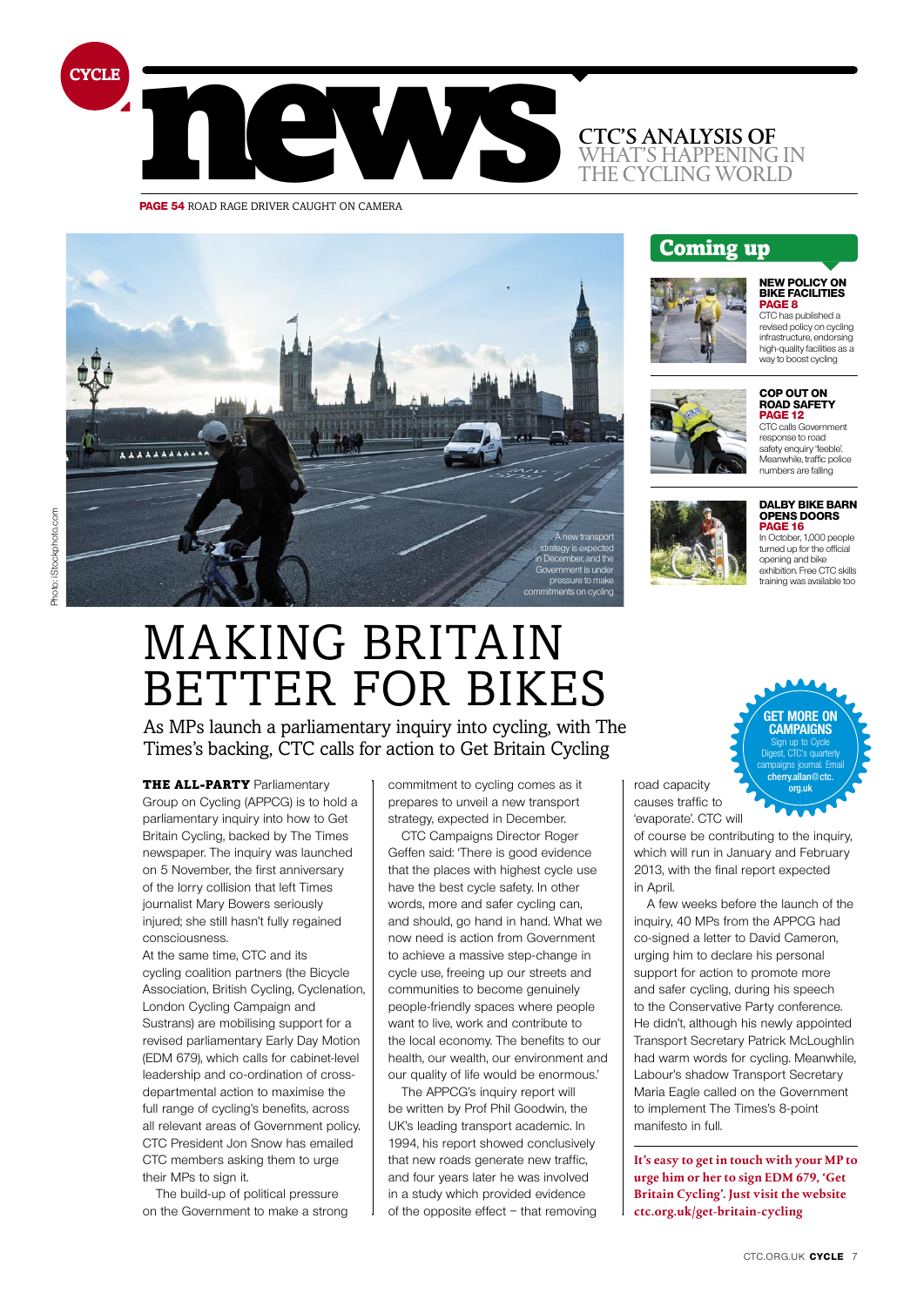

**PAGE 54 ROAD RAGE DRIVER CAUGHT ON CAMERA** 



Coming up

### **dalby bike barn opens doors page 16**

**new policy on bike facilities page 8** CTC has published a revised policy on cycling infrastructure, endorsing high-quality facilities as a way to boost cycling

**Cop out on road safety page 12** CTC calls Government response to road safety enquiry 'feeble'. Meanwhile, traffic police numbers are falling

In October, 1,000 people turned up for the official opening and bike exhibition. Free CTC skills training was available too

## Making Britain **BETTER FOR BIKES**

As MPs launch a parliamentary inquiry into cycling, with The Times's backing, CTC calls for action to Get Britain Cycling

**THE ALL-PARTY Parliamentary** Group on Cycling (APPCG) is to hold a parliamentary inquiry into how to Get Britain Cycling, backed by The Times newspaper. The inquiry was launched on 5 November, the first anniversary of the lorry collision that left Times journalist Mary Bowers seriously injured; she still hasn't fully regained consciousness.

At the same time, CTC and its cycling coalition partners (the Bicycle Association, British Cycling, Cyclenation, London Cycling Campaign and Sustrans) are mobilising support for a revised parliamentary Early Day Motion (EDM 679), which calls for cabinet-level leadership and co-ordination of crossdepartmental action to maximise the full range of cycling's benefits, across all relevant areas of Government policy. CTC President Jon Snow has emailed CTC members asking them to urge their MPs to sign it.

The build-up of political pressure on the Government to make a strong commitment to cycling comes as it prepares to unveil a new transport strategy, expected in December.

CTC Campaigns Director Roger Geffen said: 'There is good evidence that the places with highest cycle use have the best cycle safety. In other words, more and safer cycling can, and should, go hand in hand. What we now need is action from Government to achieve a massive step-change in cycle use, freeing up our streets and communities to become genuinely people-friendly spaces where people want to live, work and contribute to the local economy. The benefits to our health, our wealth, our environment and our quality of life would be enormous.'

The APPCG's inquiry report will be written by Prof Phil Goodwin, the UK's leading transport academic. In 1994, his report showed conclusively that new roads generate new traffic, and four years later he was involved in a study which provided evidence of the opposite effect – that removing road capacity causes traffic to 'evaporate'. CTC will

of course be contributing to the inquiry, which will run in January and February 2013, with the final report expected in April.

A few weeks before the launch of the inquiry, 40 MPs from the APPCG had co-signed a letter to David Cameron, urging him to declare his personal support for action to promote more and safer cycling, during his speech to the Conservative Party conference. He didn't, although his newly appointed Transport Secretary Patrick McLoughlin had warm words for cycling. Meanwhile, Labour's shadow Transport Secretary Maria Eagle called on the Government to implement The Times's 8-point manifesto in full.

**It's easy to get in touch with your MP to urge him or her to sign EDM 679, 'Get Britain Cycling'. Just visit the website ctc.org.uk/get-britain-cycling**

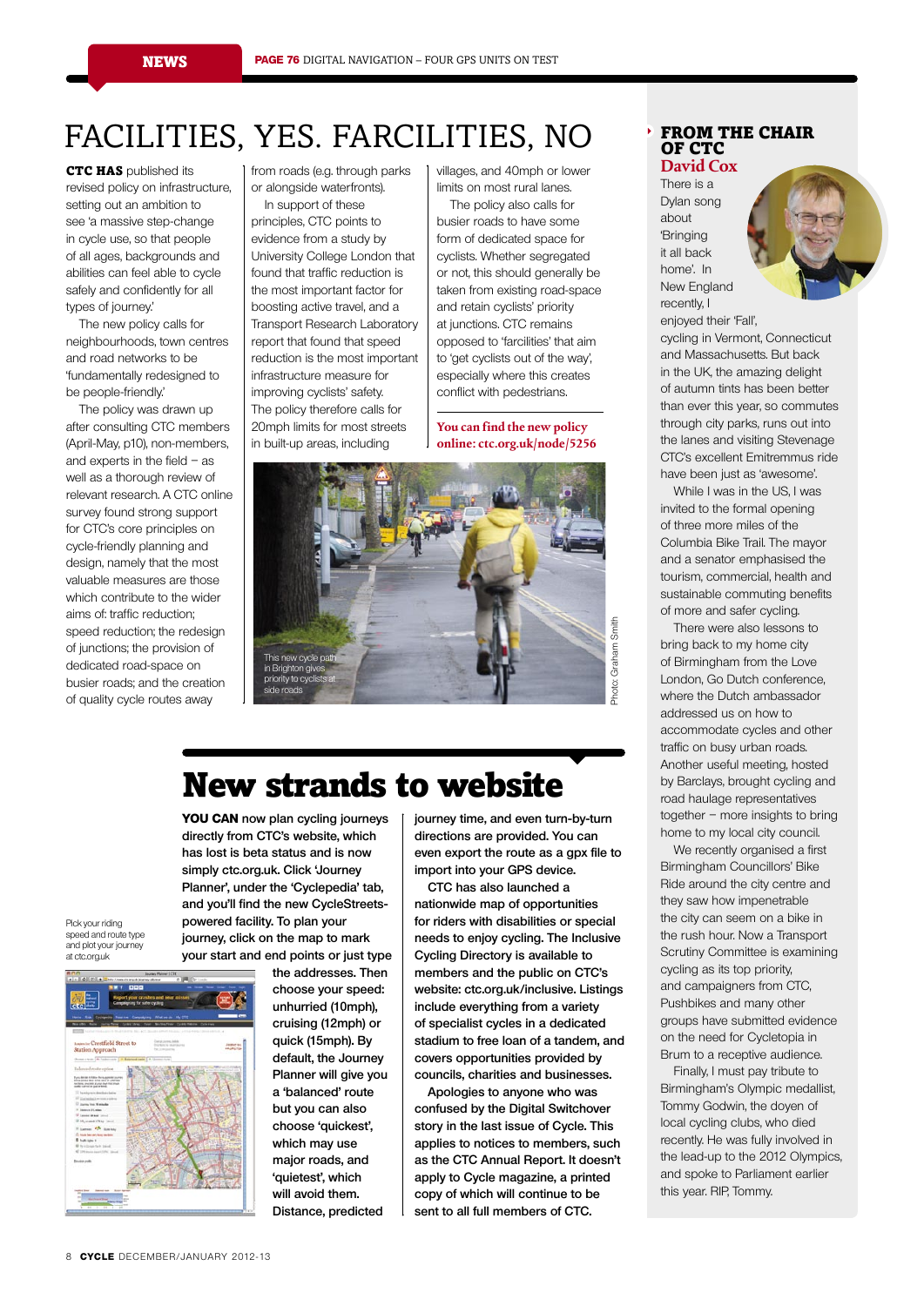## facilities, Yes. farcilities, no

**CTC HAS** published its revised policy on infrastructure, setting out an ambition to see 'a massive step-change in cycle use, so that people of all ages, backgrounds and abilities can feel able to cycle safely and confidently for all types of journey.'

The new policy calls for neighbourhoods, town centres and road networks to be 'fundamentally redesigned to be people-friendly.'

The policy was drawn up after consulting CTC members (April-May, p10), non-members, and experts in the field  $-$  as well as a thorough review of relevant research. A CTC online survey found strong support for CTC's core principles on cycle-friendly planning and design, namely that the most valuable measures are those which contribute to the wider aims of: traffic reduction; speed reduction; the redesign of junctions; the provision of dedicated road-space on busier roads; and the creation of quality cycle routes away

from roads (e.g. through parks or alongside waterfronts).

In support of these principles, CTC points to evidence from a study by University College London that

found that traffic reduction is the most important factor for boosting active travel, and a Transport Research Laboratory report that found that speed reduction is the most important infrastructure measure for improving cyclists' safety. The policy therefore calls for 20mph limits for most streets in built-up areas, including

villages, and 40mph or lower limits on most rural lanes. The policy also calls for

busier roads to have some form of dedicated space for cyclists. Whether segregated or not, this should generally be taken from existing road-space and retain cyclists' priority at junctions. CTC remains opposed to 'farcilities' that aim to 'get cyclists out of the way', especially where this creates conflict with pedestrians.

**You can find the new policy online: ctc.org.uk/node/5256**



## New strands to website

**You can now plan cycling journeys directly from CTC's website, which has lost is beta status and is now simply ctc.org.uk. Click 'Journey Planner', under the 'Cyclepedia' tab, and you'll find the new CycleStreetspowered facility. To plan your journey, click on the map to mark your start and end points or just type** 

> **the addresses. Then choose your speed: unhurried (10mph), cruising (12mph) or quick (15mph). By default, the Journey Planner will give you a 'balanced' route but you can also choose 'quickest', which may use major roads, and 'quietest', which will avoid them. Distance, predicted**

Pick your riding speed and route type and plot your journey at ctc.org.uk



**journey time, and even turn-by-turn directions are provided. You can even export the route as a gpx file to import into your GPS device.** 

**CTC has also launched a nationwide map of opportunities for riders with disabilities or special needs to enjoy cycling. The Inclusive Cycling Directory is available to members and the public on CTC's website: ctc.org.uk/inclusive. Listings include everything from a variety of specialist cycles in a dedicated stadium to free loan of a tandem, and covers opportunities provided by councils, charities and businesses.**

**Apologies to anyone who was confused by the Digital Switchover story in the last issue of Cycle. This applies to notices to members, such as the CTC Annual Report. It doesn't apply to Cycle magazine, a printed copy of which will continue to be sent to all full members of CTC.**

#### FROM THE CHAIR OF CTC **David Cox**

There is a Dylan song about 'Bringing it all back home'. In New England recently, I

enjoyed their 'Fall', cycling in Vermont, Connecticut and Massachusetts. But back in the UK, the amazing delight of autumn tints has been better than ever this year, so commutes through city parks, runs out into the lanes and visiting Stevenage CTC's excellent Emitremmus ride have been just as 'awesome'.

While I was in the US, I was invited to the formal opening of three more miles of the Columbia Bike Trail. The mayor and a senator emphasised the tourism, commercial, health and sustainable commuting benefits of more and safer cycling.

There were also lessons to bring back to my home city of Birmingham from the Love London, Go Dutch conference, where the Dutch ambassador addressed us on how to accommodate cycles and other traffic on busy urban roads. Another useful meeting, hosted by Barclays, brought cycling and road haulage representatives together – more insights to bring home to my local city council.

We recently organised a first Birmingham Councillors' Bike Ride around the city centre and they saw how impenetrable the city can seem on a bike in the rush hour. Now a Transport Scrutiny Committee is examining cycling as its top priority, and campaigners from CTC, Pushbikes and many other groups have submitted evidence on the need for Cycletopia in Brum to a receptive audience.

Finally, I must pay tribute to Birmingham's Olympic medallist, Tommy Godwin, the doyen of local cycling clubs, who died recently. He was fully involved in the lead-up to the 2012 Olympics, and spoke to Parliament earlier this year. RIP, Tommy.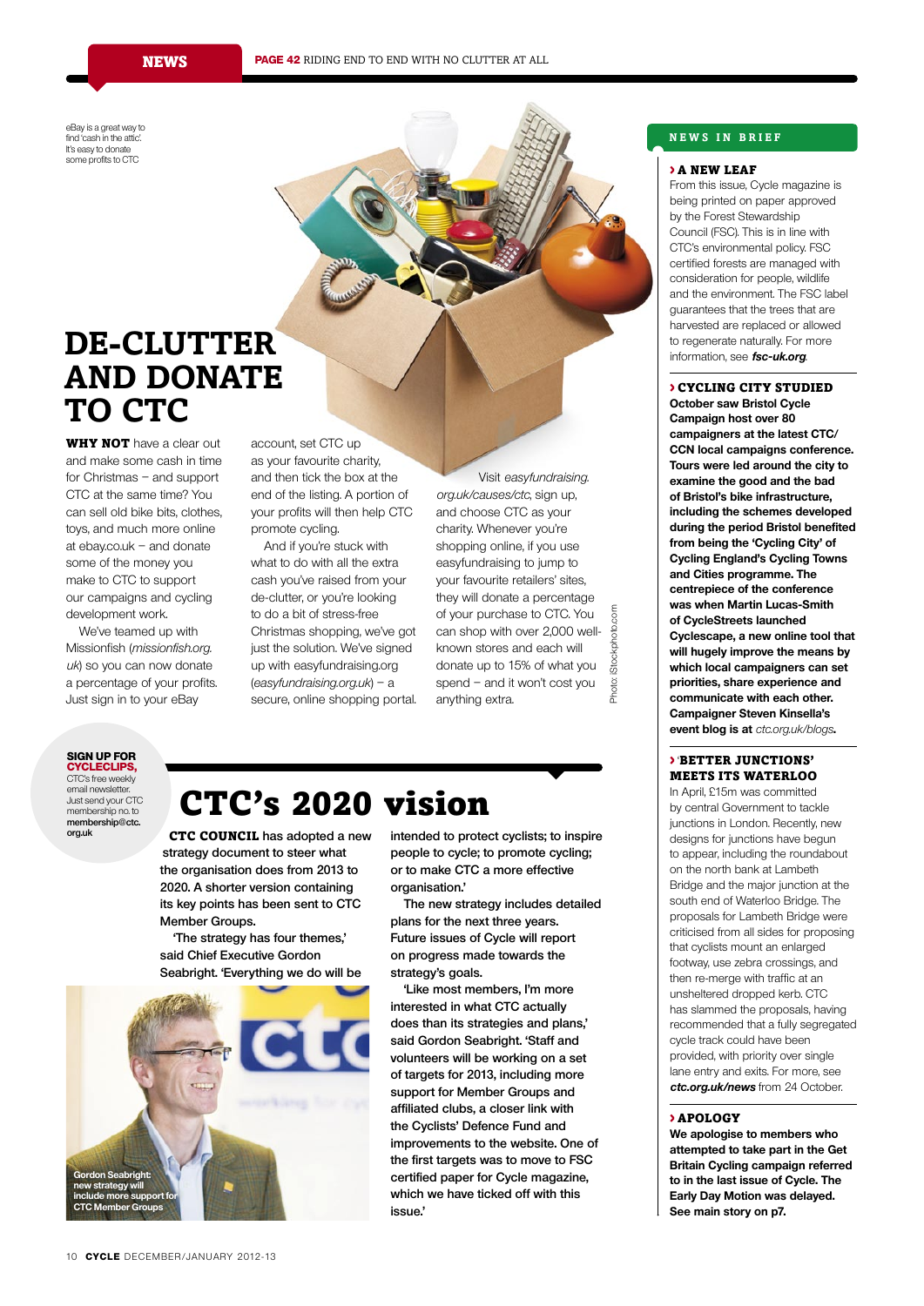eBay is a great way to find 'cash in the attic'. It's easy to donate some profits to CTC

## **De-clutter and donate TO CTC**

**WHY NOT** have a clear out and make some cash in time for Christmas – and support CTC at the same time? You can sell old bike bits, clothes, toys, and much more online at ebay.co.uk – and donate some of the money you make to CTC to support our campaigns and cycling development work.

We've teamed up with Missionfish (missionfish.org. uk) so you can now donate a percentage of your profits. Just sign in to your eBay

account, set CTC up as your favourite charity, and then tick the box at the end of the listing. A portion of your profits will then help CTC promote cycling.

And if you're stuck with what to do with all the extra cash you've raised from your de-clutter, or you're looking to do a bit of stress-free Christmas shopping, we've got just the solution. We've signed up with easyfundraising.org (easyfundraising.org.uk) – a secure, online shopping portal.

Visit easyfundraising. org.uk/causes/ctc, sign up, and choose CTC as your charity. Whenever you're shopping online, if you use easyfundraising to jump to your favourite retailers' sites, they will donate a percentage Photo: iStockphoto.comof your purchase to CTC. You **Stockphoto.com** can shop with over 2,000 wellknown stores and each will donate up to 15% of what you spend – and it won't cost you Photo: anything extra.

#### **sign up for cycleclips,**

CTC's free weekly email newsletter. Just send your CTC membership no. to **membership@ctc. org.uk**

## CTC's 2020 vision

CTC council **has adopted a new strategy document to steer what the organisation does from 2013 to 2020. A shorter version containing its key points has been sent to CTC Member Groups.** 

**'The strategy has four themes,' said Chief Executive Gordon Seabright. 'Everything we do will be** 



**intended to protect cyclists; to inspire people to cycle; to promote cycling; or to make CTC a more effective organisation.'** 

**The new strategy includes detailed plans for the next three years. Future issues of Cycle will report on progress made towards the strategy's goals.**

**'Like most members, I'm more interested in what CTC actually does than its strategies and plans,' said Gordon Seabright. 'Staff and volunteers will be working on a set of targets for 2013, including more support for Member Groups and affiliated clubs, a closer link with the Cyclists' Defence Fund and improvements to the website. One of the first targets was to move to FSC certified paper for Cycle magazine, which we have ticked off with this issue.'** 

#### **N e ws i n bri e f**

#### > A NEW LEAF

From this issue, Cycle magazine is being printed on paper approved by the Forest Stewardship Council (FSC). This is in line with CTC's environmental policy. FSC certified forests are managed with consideration for people, wildlife and the environment. The FSC label guarantees that the trees that are harvested are replaced or allowed to regenerate naturally. For more information, see **fsc-uk.org**.

#### > CYCLING CITY STUDIED **October saw Bristol Cycle**

**Campaign host over 80 campaigners at the latest CTC/ CCN local campaigns conference. Tours were led around the city to examine the good and the bad of Bristol's bike infrastructure, including the schemes developed during the period Bristol benefited from being the 'Cycling City' of Cycling England's Cycling Towns and Cities programme. The centrepiece of the conference was when Martin Lucas-Smith of CycleStreets launched Cyclescape, a new online tool that will hugely improve the means by which local campaigners can set priorities, share experience and communicate with each other. Campaigner Steven Kinsella's event blog is at** ctc.org.uk/blogs**.**

#### > 'BETTER JUNCTIONS' MEETS ITS WATERLOO

In April, £15m was committed by central Government to tackle junctions in London. Recently, new designs for junctions have begun to appear, including the roundabout on the north bank at Lambeth Bridge and the major junction at the south end of Waterloo Bridge. The proposals for Lambeth Bridge were criticised from all sides for proposing that cyclists mount an enlarged footway, use zebra crossings, and then re-merge with traffic at an unsheltered dropped kerb. CTC has slammed the proposals, having recommended that a fully segregated cycle track could have been provided, with priority over single lane entry and exits. For more, see **ctc.org.uk/news** from 24 October.

#### > APOLOGY

**We apologise to members who attempted to take part in the Get Britain Cycling campaign referred to in the last issue of Cycle. The Early Day Motion was delayed. See main story on p7.**